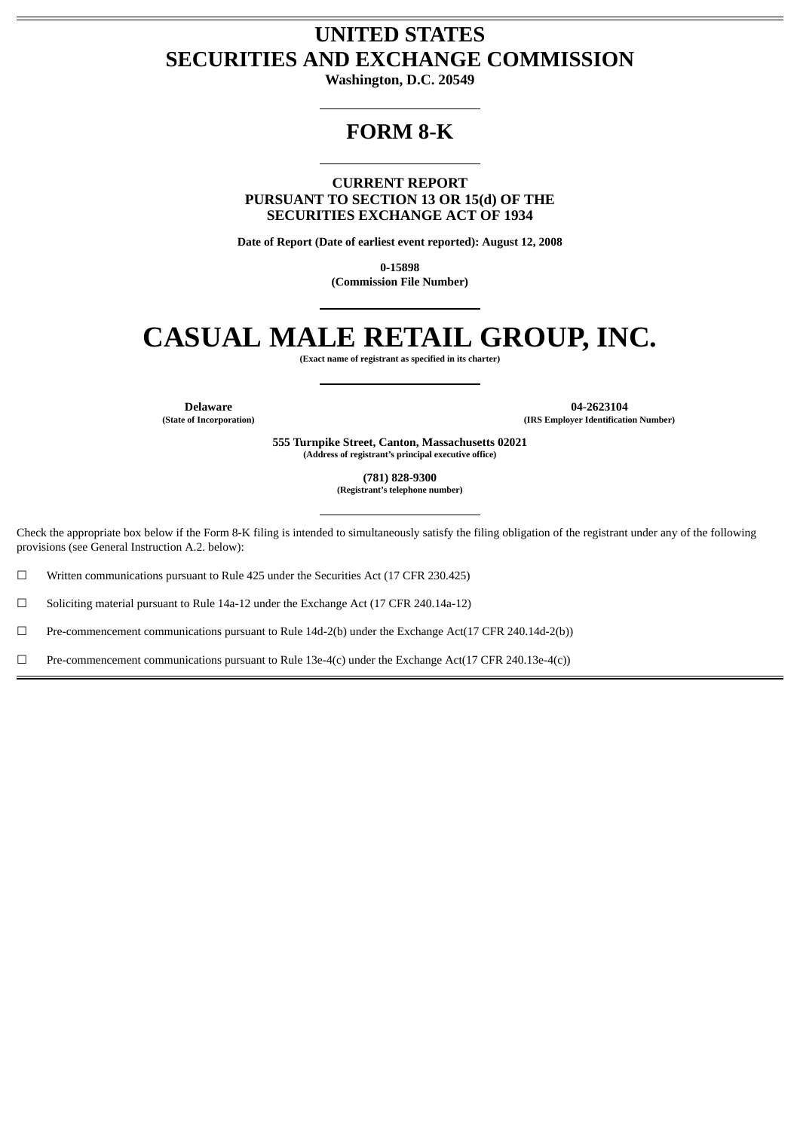## **UNITED STATES SECURITIES AND EXCHANGE COMMISSION**

**Washington, D.C. 20549**

## **FORM 8-K**

**CURRENT REPORT PURSUANT TO SECTION 13 OR 15(d) OF THE SECURITIES EXCHANGE ACT OF 1934**

**Date of Report (Date of earliest event reported): August 12, 2008**

**0-15898 (Commission File Number)**

# **CASUAL MALE RETAIL GROUP, INC.**

**(Exact name of registrant as specified in its charter)**

**Delaware 04-2623104 (State of Incorporation) (IRS Employer Identification Number)**

> **555 Turnpike Street, Canton, Massachusetts 02021 (Address of registrant's principal executive office)**

> > **(781) 828-9300 (Registrant's telephone number)**

Check the appropriate box below if the Form 8-K filing is intended to simultaneously satisfy the filing obligation of the registrant under any of the following provisions (see General Instruction A.2. below):

☐ Written communications pursuant to Rule 425 under the Securities Act (17 CFR 230.425)

☐ Soliciting material pursuant to Rule 14a-12 under the Exchange Act (17 CFR 240.14a-12)

☐ Pre-commencement communications pursuant to Rule 14d-2(b) under the Exchange Act(17 CFR 240.14d-2(b))

☐ Pre-commencement communications pursuant to Rule 13e-4(c) under the Exchange Act(17 CFR 240.13e-4(c))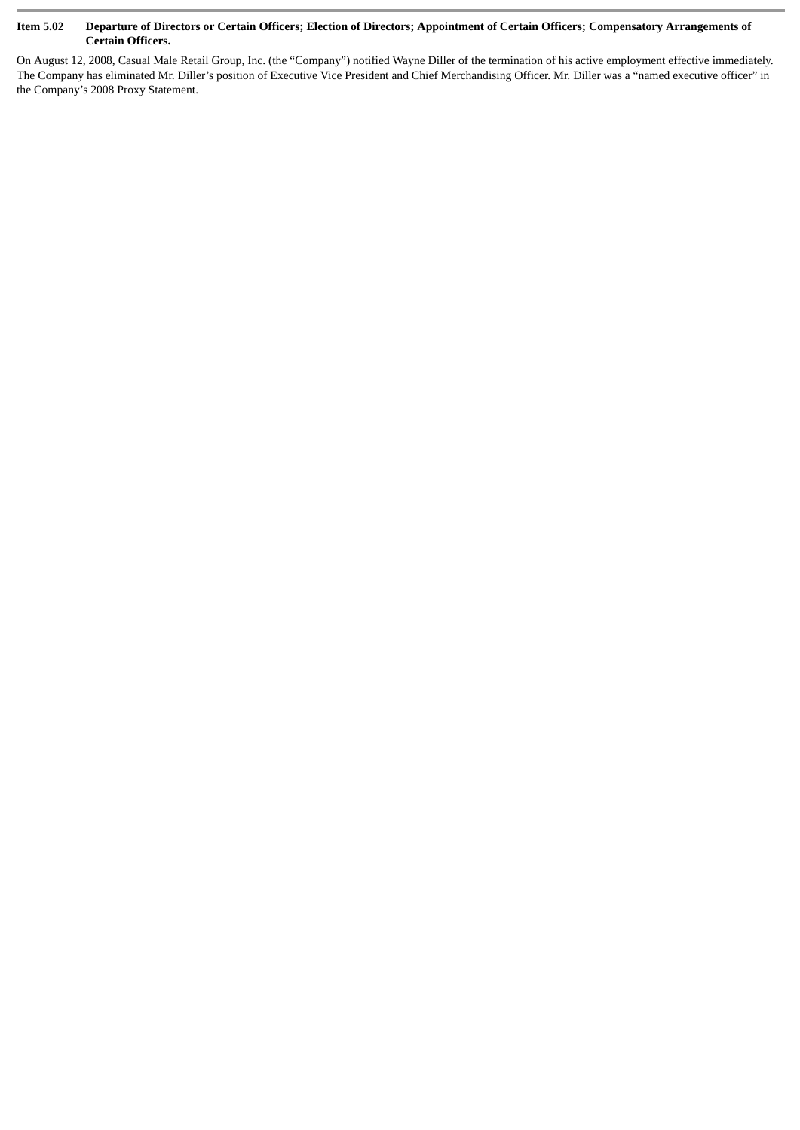#### **Item 5.02 Departure of Directors or Certain Officers; Election of Directors; Appointment of Certain Officers; Compensatory Arrangements of Certain Officers.**

On August 12, 2008, Casual Male Retail Group, Inc. (the "Company") notified Wayne Diller of the termination of his active employment effective immediately. The Company has eliminated Mr. Diller's position of Executive Vice President and Chief Merchandising Officer. Mr. Diller was a "named executive officer" in the Company's 2008 Proxy Statement.